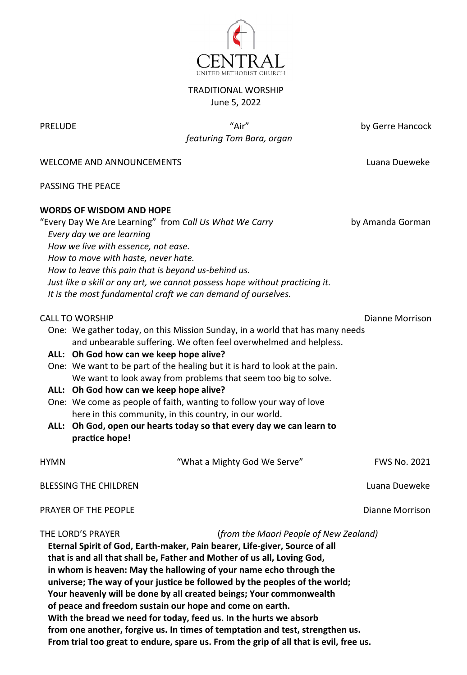

## TRADITIONAL WORSHIP June 5, 2022

PRELUDE "Air" by Gerre Hancock  *featuring Tom Bara, organ*

WELCOME AND ANNOUNCEMENTS LUAN LUANA LUANA DUEWEKE

PASSING THE PEACE

## **WORDS OF WISDOM AND HOPE**

"Every Day We Are Learning" from *Call Us What We Carry* by Amanda Gorman *Every day we are learning How we live with essence, not ease. How to move with haste, never hate. How to leave this pain that is beyond us-behind us. Just like a skill or any art, we cannot possess hope without practicing it. It is the most fundamental craft we can demand of ourselves.* CALL TO WORSHIP **Diannel Morrison** Diannel Morrison One: We gather today, on this Mission Sunday, in a world that has many needs and unbearable suffering. We often feel overwhelmed and helpless. **ALL: Oh God how can we keep hope alive?** One: We want to be part of the healing but it is hard to look at the pain. We want to look away from problems that seem too big to solve. **ALL: Oh God how can we keep hope alive?** One: We come as people of faith, wanting to follow your way of love here in this community, in this country, in our world. **ALL: Oh God, open our hearts today so that every day we can learn to practice hope!** HYMN "What a Mighty God We Serve" FWS No. 2021 BLESSING THE CHILDREN Luana Dueweke **PRAYER OF THE PEOPLE CONSUMING A REAL EXECUTIVE CONSUMING A REAL EXECUTIVE CONSUMING A REAL EXECUTIVE CONSUMING A REAL EXECUTIVE CONSUMING A REAL EXECUTIVE CONSUMING A REAL EXPLORER OF THE PROPERTY OF DIAGON CONSUMING A** THE LORD'S PRAYER (*from the Maori People of New Zealand)* **Eternal Spirit of God, Earth-maker, Pain bearer, Life-giver, Source of all that is and all that shall be, Father and Mother of us all, Loving God, in whom is heaven: May the hallowing of your name echo through the** 

**universe; The way of your justice be followed by the peoples of the world;**

**Your heavenly will be done by all created beings; Your commonwealth** 

**of peace and freedom sustain our hope and come on earth.**

**With the bread we need for today, feed us. In the hurts we absorb** 

**from one another, forgive us. In times of temptation and test, strengthen us.**

**From trial too great to endure, spare us. From the grip of all that is evil, free us.**